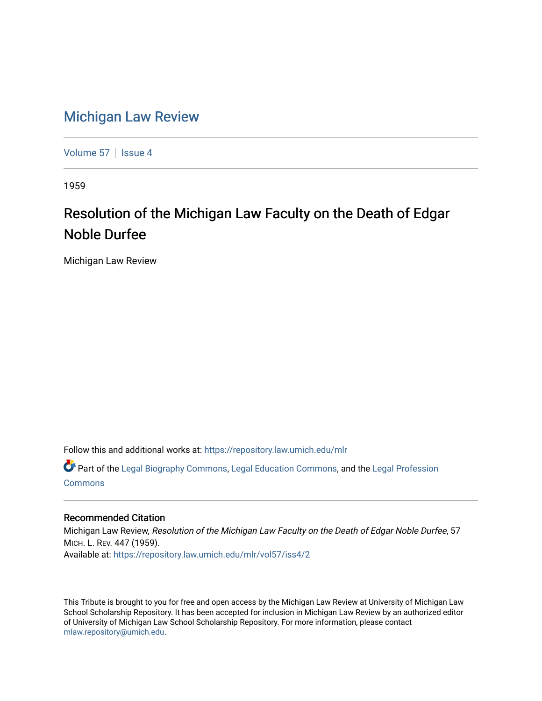## [Michigan Law Review](https://repository.law.umich.edu/mlr)

[Volume 57](https://repository.law.umich.edu/mlr/vol57) | [Issue 4](https://repository.law.umich.edu/mlr/vol57/iss4)

1959

# Resolution of the Michigan Law Faculty on the Death of Edgar Noble Durfee

Michigan Law Review

Follow this and additional works at: [https://repository.law.umich.edu/mlr](https://repository.law.umich.edu/mlr?utm_source=repository.law.umich.edu%2Fmlr%2Fvol57%2Fiss4%2F2&utm_medium=PDF&utm_campaign=PDFCoverPages) 

Part of the [Legal Biography Commons,](http://network.bepress.com/hgg/discipline/834?utm_source=repository.law.umich.edu%2Fmlr%2Fvol57%2Fiss4%2F2&utm_medium=PDF&utm_campaign=PDFCoverPages) [Legal Education Commons,](http://network.bepress.com/hgg/discipline/857?utm_source=repository.law.umich.edu%2Fmlr%2Fvol57%2Fiss4%2F2&utm_medium=PDF&utm_campaign=PDFCoverPages) and the [Legal Profession](http://network.bepress.com/hgg/discipline/1075?utm_source=repository.law.umich.edu%2Fmlr%2Fvol57%2Fiss4%2F2&utm_medium=PDF&utm_campaign=PDFCoverPages)  [Commons](http://network.bepress.com/hgg/discipline/1075?utm_source=repository.law.umich.edu%2Fmlr%2Fvol57%2Fiss4%2F2&utm_medium=PDF&utm_campaign=PDFCoverPages)

#### Recommended Citation

Michigan Law Review, Resolution of the Michigan Law Faculty on the Death of Edgar Noble Durfee, 57 MICH. L. REV. 447 (1959). Available at: [https://repository.law.umich.edu/mlr/vol57/iss4/2](https://repository.law.umich.edu/mlr/vol57/iss4/2?utm_source=repository.law.umich.edu%2Fmlr%2Fvol57%2Fiss4%2F2&utm_medium=PDF&utm_campaign=PDFCoverPages)

This Tribute is brought to you for free and open access by the Michigan Law Review at University of Michigan Law School Scholarship Repository. It has been accepted for inclusion in Michigan Law Review by an authorized editor of University of Michigan Law School Scholarship Repository. For more information, please contact [mlaw.repository@umich.edu.](mailto:mlaw.repository@umich.edu)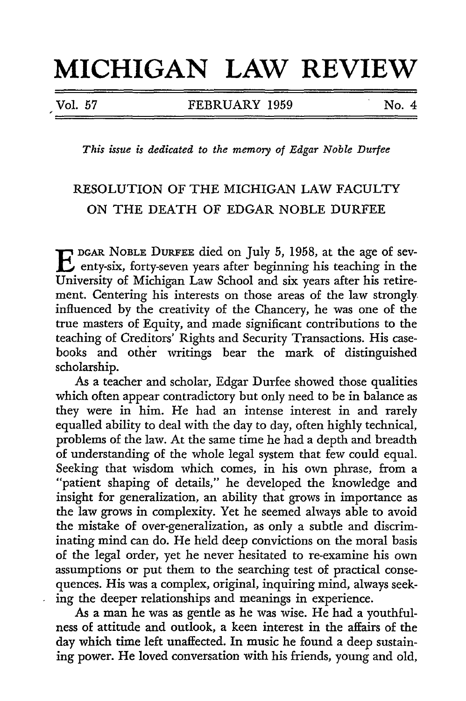# **MICHIGAN LAW REVIEW**

Vol. *57* FEBRUARY 1959 No. 4

*This issue is dedicated to the memory of Edgar Noble Durfee* 

### RESOLUTION OF THE MICHIGAN LAW FACULTY ON THE DEATH OF EDGAR NOBLE DURFEE

E DGAR NOBLE DURFEE died on July 5, 1958, at the age of severity-six, forty-seven years after beginning his teaching in the University of Michigan Law School and six years after his retirement. Centering his interests on those areas of the law strongly. influenced by the creativity of the Chancery, he was one of the true masters of Equity, and made significant contributions to the teaching of Creditors' Rights and Security Transactions. His casebooks and other writings bear the mark of distinguished scholarship.

As a teacher and scholar, Edgar Durfee showed those qualities which often appear contradictory but only need to be in balance as they were in him. He had an intense interest in and rarely equalled ability to deal with the day to day, often highly technical, problems of the law. At the same time he had a depth and breadth of understanding of the whole legal system that few could equal. Seeking that wisdom which comes, in his own phrase, from a "patient shaping of details," he developed the knowledge and insight for generalization, an ability that grows in importance as the law grows in complexity. Yet he seemed always able to avoid the mistake of over-generalization, as only a subtle and discriminating mind can do. He held deep convictions on the moral basis of the legal order, yet he never hesitated to re-examine his own assumptions or put them to the searching test of practical consequences. His was a complex, original, inquiring mind, always seeking the deeper relationships and meanings in experience.

As a man he was as gentle as he was wise. He had a youthfulness of attitude and outlook, a keen interest in the affairs of the day which time left unaffected. In music he found a deep sustaining power. He loved conversation with his friends, young and old,